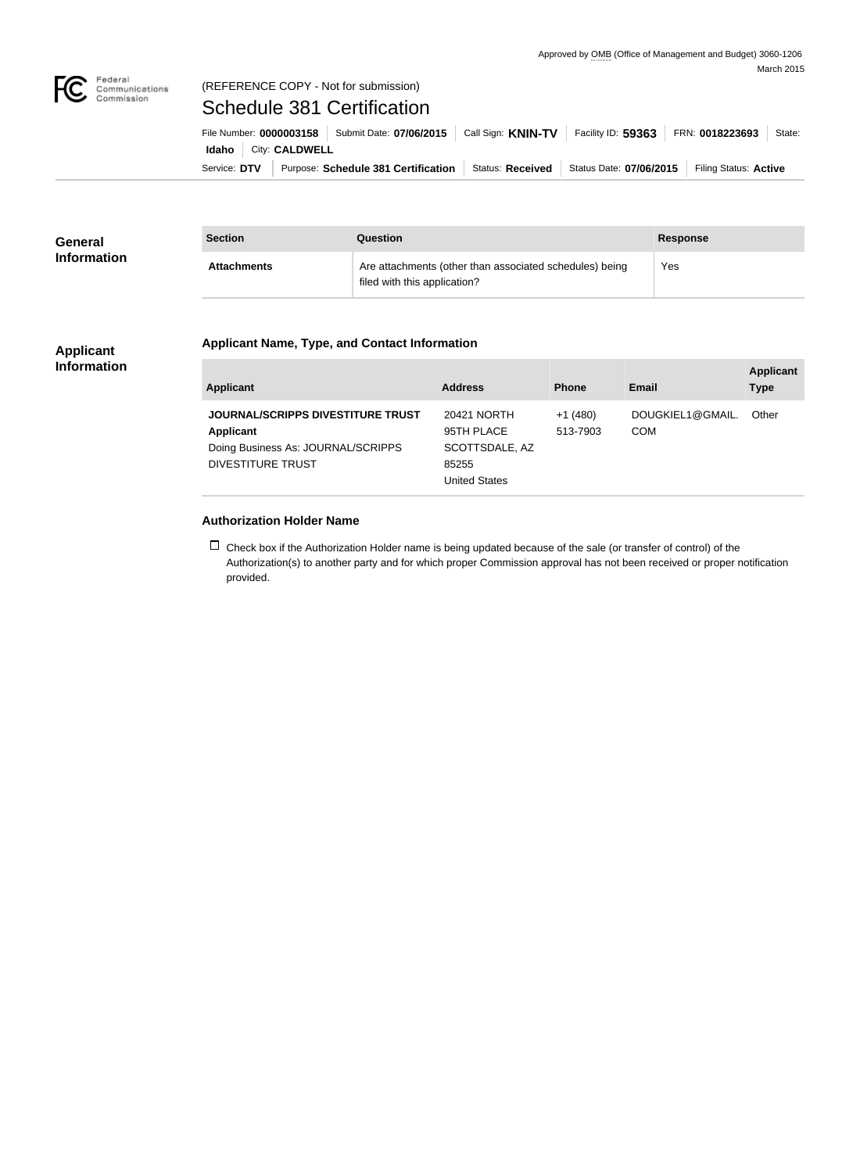

### Federal<br>Communications<br>Commission (REFERENCE COPY - Not for submission)

# Schedule 381 Certification

Service: DTV | Purpose: Schedule 381 Certification | Status: Received | Status Date: 07/06/2015 | Filing Status: Active **Idaho** City: **CALDWELL** File Number: **0000003158** Submit Date: **07/06/2015** Call Sign: **KNIN-TV** Facility ID: **59363** FRN: **0018223693** State:

| <b>General</b><br><b>Information</b> | <b>Section</b>     | <b>Question</b>                                                                         | <b>Response</b> |
|--------------------------------------|--------------------|-----------------------------------------------------------------------------------------|-----------------|
|                                      | <b>Attachments</b> | Are attachments (other than associated schedules) being<br>filed with this application? | Yes             |

#### **Applicant Information**

## **Applicant Name, Type, and Contact Information**

| Applicant                                                                                                               | <b>Address</b>                                                               | <b>Phone</b>          | Email                          | <b>Applicant</b><br><b>Type</b> |
|-------------------------------------------------------------------------------------------------------------------------|------------------------------------------------------------------------------|-----------------------|--------------------------------|---------------------------------|
| <b>JOURNAL/SCRIPPS DIVESTITURE TRUST</b><br>Applicant<br>Doing Business As: JOURNAL/SCRIPPS<br><b>DIVESTITURE TRUST</b> | 20421 NORTH<br>95TH PLACE<br>SCOTTSDALE, AZ<br>85255<br><b>United States</b> | $+1(480)$<br>513-7903 | DOUGKIEL1@GMAIL.<br><b>COM</b> | Other                           |

## **Authorization Holder Name**

 $\Box$  Check box if the Authorization Holder name is being updated because of the sale (or transfer of control) of the Authorization(s) to another party and for which proper Commission approval has not been received or proper notification provided.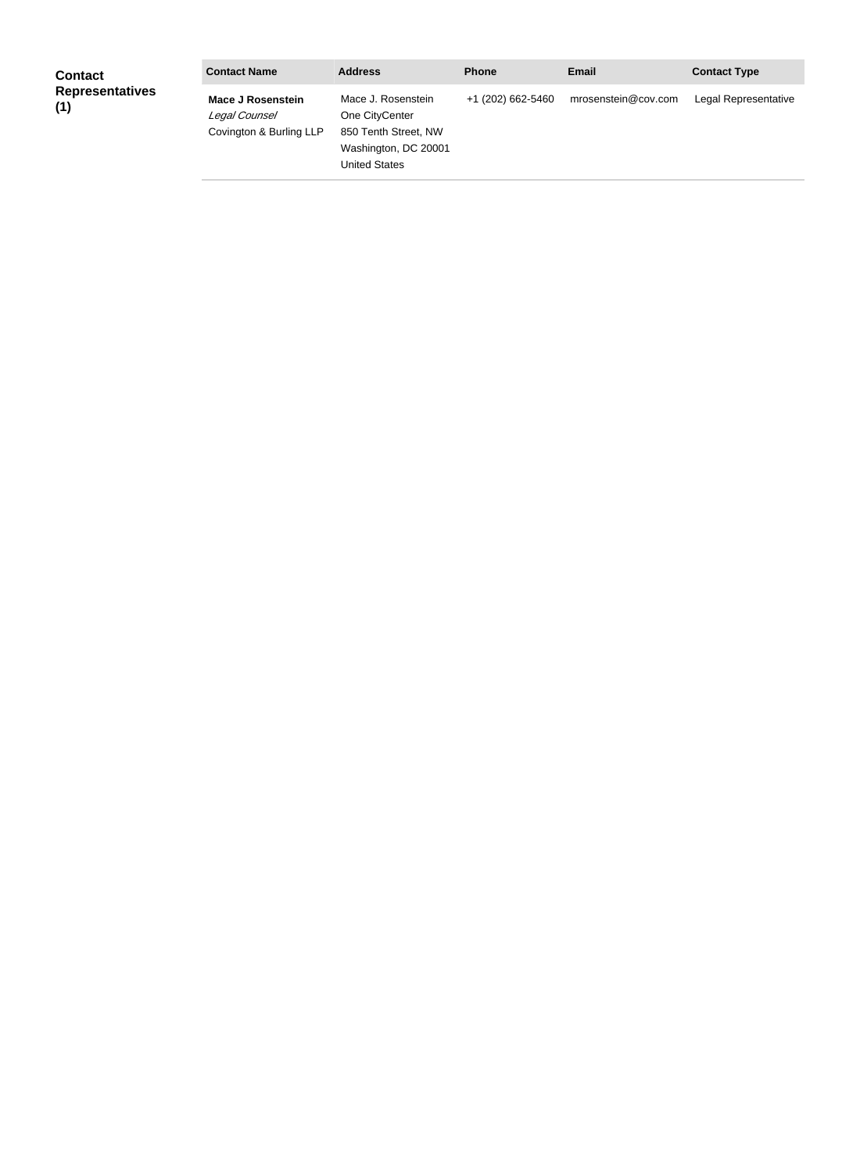| <b>Contact</b>                | <b>Contact Name</b>                                                  | <b>Address</b>                                                                                               | <b>Phone</b>      | <b>Email</b>        | <b>Contact Type</b>  |
|-------------------------------|----------------------------------------------------------------------|--------------------------------------------------------------------------------------------------------------|-------------------|---------------------|----------------------|
| <b>Representatives</b><br>(1) | <b>Mace J Rosenstein</b><br>Legal Counsel<br>Covington & Burling LLP | Mace J. Rosenstein<br>One CityCenter<br>850 Tenth Street, NW<br>Washington, DC 20001<br><b>United States</b> | +1 (202) 662-5460 | mrosenstein@cov.com | Legal Representative |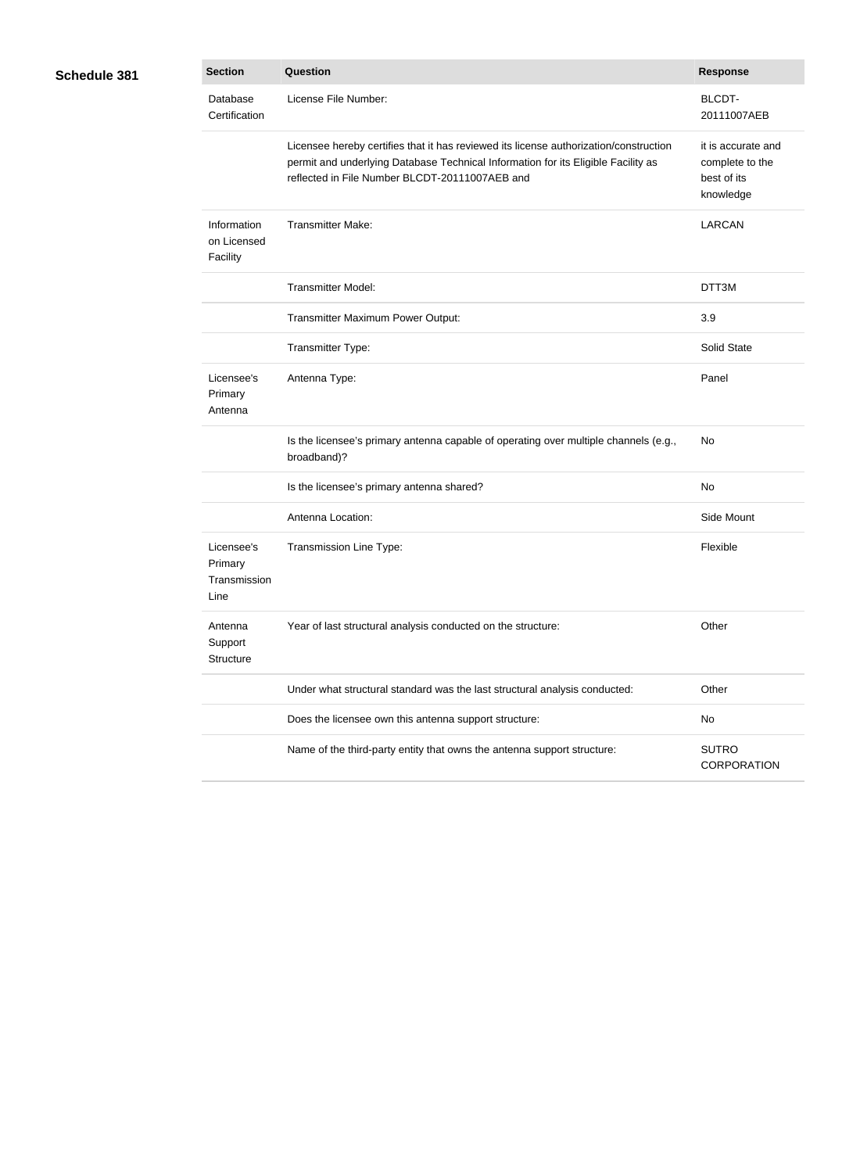| Schedule 381 |  |
|--------------|--|
|--------------|--|

| }1 | <b>Section</b>                                | <b>Question</b>                                                                                                                                                                                                              | <b>Response</b>                                                   |
|----|-----------------------------------------------|------------------------------------------------------------------------------------------------------------------------------------------------------------------------------------------------------------------------------|-------------------------------------------------------------------|
|    | Database<br>Certification                     | License File Number:                                                                                                                                                                                                         | <b>BLCDT-</b><br>20111007AEB                                      |
|    |                                               | Licensee hereby certifies that it has reviewed its license authorization/construction<br>permit and underlying Database Technical Information for its Eligible Facility as<br>reflected in File Number BLCDT-20111007AEB and | it is accurate and<br>complete to the<br>best of its<br>knowledge |
|    | Information<br>on Licensed<br>Facility        | <b>Transmitter Make:</b>                                                                                                                                                                                                     | <b>LARCAN</b>                                                     |
|    |                                               | <b>Transmitter Model:</b>                                                                                                                                                                                                    | DTT3M                                                             |
|    |                                               | Transmitter Maximum Power Output:                                                                                                                                                                                            | 3.9                                                               |
|    |                                               | Transmitter Type:                                                                                                                                                                                                            | Solid State                                                       |
|    | Licensee's<br>Primary<br>Antenna              | Antenna Type:                                                                                                                                                                                                                | Panel                                                             |
|    |                                               | Is the licensee's primary antenna capable of operating over multiple channels (e.g.,<br>broadband)?                                                                                                                          | No                                                                |
|    |                                               | Is the licensee's primary antenna shared?                                                                                                                                                                                    | No                                                                |
|    |                                               | Antenna Location:                                                                                                                                                                                                            | Side Mount                                                        |
|    | Licensee's<br>Primary<br>Transmission<br>Line | Transmission Line Type:                                                                                                                                                                                                      | Flexible                                                          |
|    | Antenna<br>Support<br>Structure               | Year of last structural analysis conducted on the structure:                                                                                                                                                                 | Other                                                             |
|    |                                               | Under what structural standard was the last structural analysis conducted:                                                                                                                                                   | Other                                                             |
|    |                                               | Does the licensee own this antenna support structure:                                                                                                                                                                        | No                                                                |
|    |                                               | Name of the third-party entity that owns the antenna support structure:                                                                                                                                                      | <b>SUTRO</b><br><b>CORPORATION</b>                                |
|    |                                               |                                                                                                                                                                                                                              |                                                                   |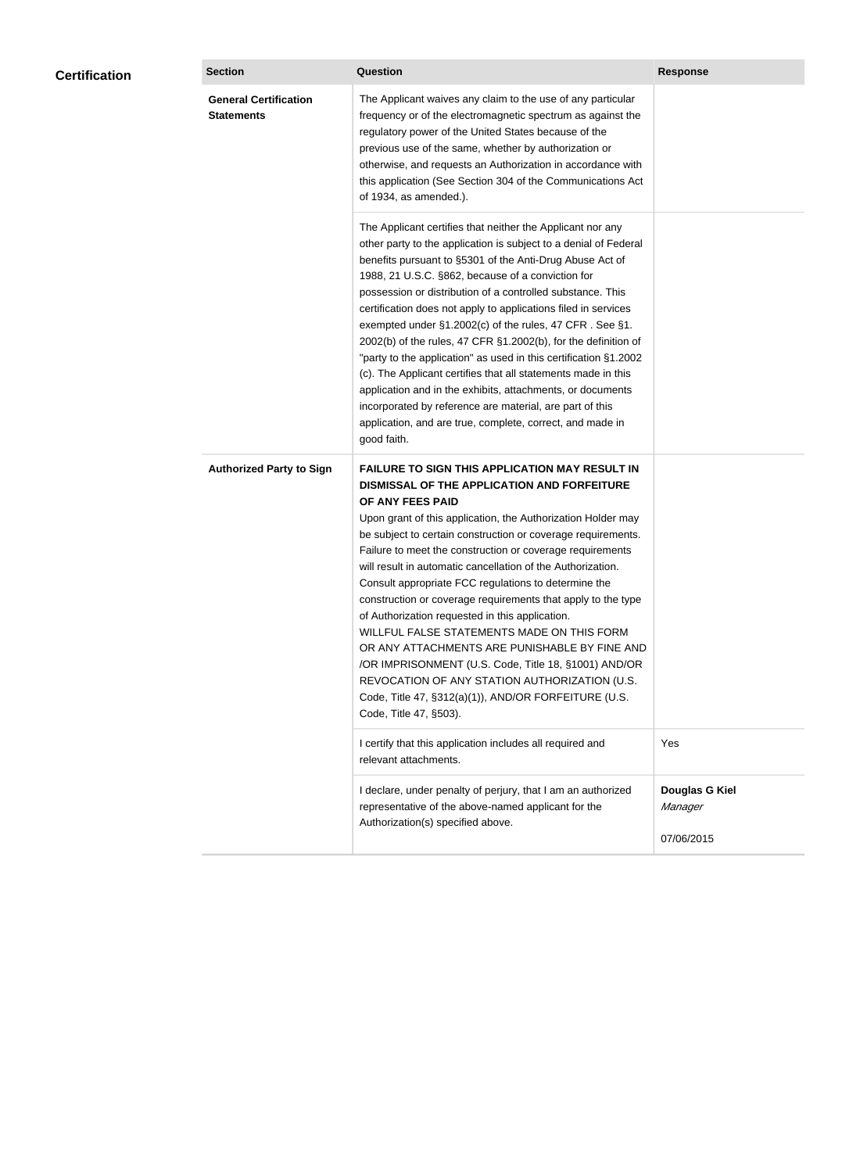| <b>Certification</b> | <b>Section</b>                                    | <b>Question</b>                                                                                                                                                                                                                                                                                                                                                                                                                                                                                                                                                                                                                                                                                                                                                                                                                                           | <b>Response</b>                         |
|----------------------|---------------------------------------------------|-----------------------------------------------------------------------------------------------------------------------------------------------------------------------------------------------------------------------------------------------------------------------------------------------------------------------------------------------------------------------------------------------------------------------------------------------------------------------------------------------------------------------------------------------------------------------------------------------------------------------------------------------------------------------------------------------------------------------------------------------------------------------------------------------------------------------------------------------------------|-----------------------------------------|
|                      | <b>General Certification</b><br><b>Statements</b> | The Applicant waives any claim to the use of any particular<br>frequency or of the electromagnetic spectrum as against the<br>regulatory power of the United States because of the<br>previous use of the same, whether by authorization or<br>otherwise, and requests an Authorization in accordance with<br>this application (See Section 304 of the Communications Act<br>of 1934, as amended.).                                                                                                                                                                                                                                                                                                                                                                                                                                                       |                                         |
|                      |                                                   | The Applicant certifies that neither the Applicant nor any<br>other party to the application is subject to a denial of Federal<br>benefits pursuant to §5301 of the Anti-Drug Abuse Act of<br>1988, 21 U.S.C. §862, because of a conviction for<br>possession or distribution of a controlled substance. This<br>certification does not apply to applications filed in services<br>exempted under §1.2002(c) of the rules, 47 CFR. See §1.<br>2002(b) of the rules, 47 CFR §1.2002(b), for the definition of<br>"party to the application" as used in this certification §1.2002<br>(c). The Applicant certifies that all statements made in this<br>application and in the exhibits, attachments, or documents<br>incorporated by reference are material, are part of this<br>application, and are true, complete, correct, and made in<br>good faith.   |                                         |
|                      | <b>Authorized Party to Sign</b>                   | <b>FAILURE TO SIGN THIS APPLICATION MAY RESULT IN</b><br>DISMISSAL OF THE APPLICATION AND FORFEITURE<br>OF ANY FEES PAID<br>Upon grant of this application, the Authorization Holder may<br>be subject to certain construction or coverage requirements.<br>Failure to meet the construction or coverage requirements<br>will result in automatic cancellation of the Authorization.<br>Consult appropriate FCC regulations to determine the<br>construction or coverage requirements that apply to the type<br>of Authorization requested in this application.<br>WILLFUL FALSE STATEMENTS MADE ON THIS FORM<br>OR ANY ATTACHMENTS ARE PUNISHABLE BY FINE AND<br>/OR IMPRISONMENT (U.S. Code, Title 18, §1001) AND/OR<br>REVOCATION OF ANY STATION AUTHORIZATION (U.S.<br>Code, Title 47, §312(a)(1)), AND/OR FORFEITURE (U.S.<br>Code, Title 47, §503). |                                         |
|                      |                                                   | I certify that this application includes all required and<br>relevant attachments.                                                                                                                                                                                                                                                                                                                                                                                                                                                                                                                                                                                                                                                                                                                                                                        | Yes                                     |
|                      |                                                   | I declare, under penalty of perjury, that I am an authorized<br>representative of the above-named applicant for the<br>Authorization(s) specified above.                                                                                                                                                                                                                                                                                                                                                                                                                                                                                                                                                                                                                                                                                                  | Douglas G Kiel<br>Manager<br>07/06/2015 |
|                      |                                                   |                                                                                                                                                                                                                                                                                                                                                                                                                                                                                                                                                                                                                                                                                                                                                                                                                                                           |                                         |